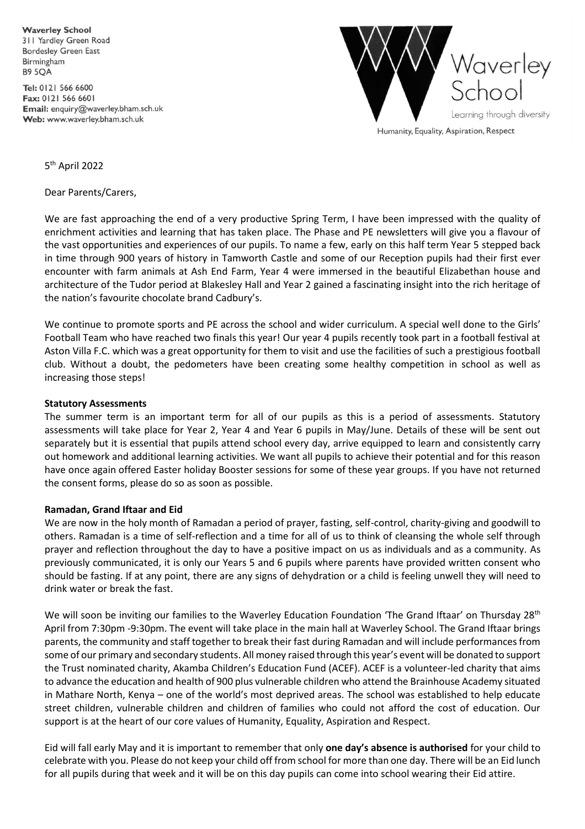**Waverley School** 311 Yardley Green Road **Bordesley Green East** Birmingham **B9 5OA** 

Tel: 0121 566 6600 Fax: 0121 566 6601 Email: enquiry@waverley.bham.sch.uk Web: www.waverley.bham.sch.uk



Humanity, Equality, Aspiration, Respect

5 th April 2022

Dear Parents/Carers,

We are fast approaching the end of a very productive Spring Term, I have been impressed with the quality of enrichment activities and learning that has taken place. The Phase and PE newsletters will give you a flavour of the vast opportunities and experiences of our pupils. To name a few, early on this half term Year 5 stepped back in time through 900 years of history in Tamworth Castle and some of our Reception pupils had their first ever encounter with farm animals at Ash End Farm, Year 4 were immersed in the beautiful Elizabethan house and architecture of the Tudor period at Blakesley Hall and Year 2 gained a fascinating insight into the rich heritage of the nation's favourite chocolate brand Cadbury's.

We continue to promote sports and PE across the school and wider curriculum. A special well done to the Girls' Football Team who have reached two finals this year! Our year 4 pupils recently took part in a football festival at Aston Villa F.C. which was a great opportunity for them to visit and use the facilities of such a prestigious football club. Without a doubt, the pedometers have been creating some healthy competition in school as well as increasing those steps!

#### **Statutory Assessments**

The summer term is an important term for all of our pupils as this is a period of assessments. Statutory assessments will take place for Year 2, Year 4 and Year 6 pupils in May/June. Details of these will be sent out separately but it is essential that pupils attend school every day, arrive equipped to learn and consistently carry out homework and additional learning activities. We want all pupils to achieve their potential and for this reason have once again offered Easter holiday Booster sessions for some of these year groups. If you have not returned the consent forms, please do so as soon as possible.

#### **Ramadan, Grand Iftaar and Eid**

We are now in the holy month of Ramadan a period of prayer, fasting, self-control, charity-giving and goodwill to others. Ramadan is a time of self-reflection and a time for all of us to think of cleansing the whole self through prayer and reflection throughout the day to have a positive impact on us as individuals and as a community. As previously communicated, it is only our Years 5 and 6 pupils where parents have provided written consent who should be fasting. If at any point, there are any signs of dehydration or a child is feeling unwell they will need to drink water or break the fast.

We will soon be inviting our families to the Waverley Education Foundation 'The Grand Iftaar' on Thursday 28<sup>th</sup> April from 7:30pm -9:30pm. The event will take place in the main hall at Waverley School. The Grand Iftaar brings parents, the community and staff together to break their fast during Ramadan and will include performances from some of our primary and secondary students. All money raised through this year's event will be donated to support the Trust nominated charity, Akamba Children's Education Fund (ACEF). ACEF is a volunteer-led charity that aims to advance the education and health of 900 plus vulnerable children who attend the Brainhouse Academy situated in Mathare North, Kenya – one of the world's most deprived areas. The school was established to help educate street children, vulnerable children and children of families who could not afford the cost of education. Our support is at the heart of our core values of Humanity, Equality, Aspiration and Respect.

Eid will fall early May and it is important to remember that only **one day's absence is authorised** for your child to celebrate with you. Please do not keep your child off from school for more than one day. There will be an Eid lunch for all pupils during that week and it will be on this day pupils can come into school wearing their Eid attire.